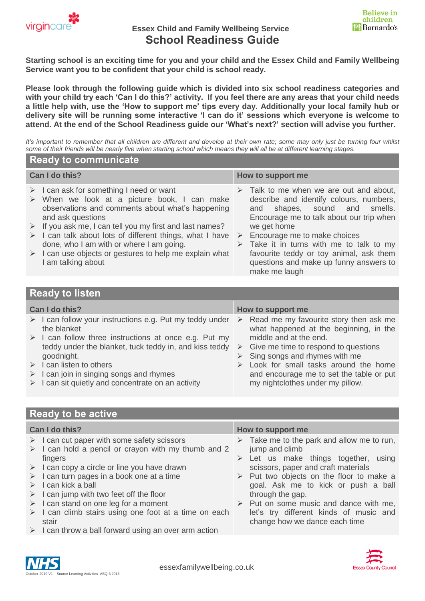

# **Essex Child and Family Wellbeing Service School Readiness Guide**



**Starting school is an exciting time for you and your child and the Essex Child and Family Wellbeing Service want you to be confident that your child is school ready.**

**Please look through the following guide which is divided into six school readiness categories and with your child try each 'Can I do this?' activity. If you feel there are any areas that your child needs a little help with, use the 'How to support me' tips every day. Additionally your local family hub or delivery site will be running some interactive 'I can do it' sessions which everyone is welcome to attend. At the end of the School Readiness guide our 'What's next?' section will advise you further.**

*It's important to remember that all children are different and develop at their own rate; some may only just be turning four whilst some of their friends will be nearly five when starting school which means they will all be at different learning stages.*

#### **Ready to communicate**

| Can I do this? |                                                                                                                                                                                                                                                                            | How to support me |                                                                                                                                                                                               |  |  |
|----------------|----------------------------------------------------------------------------------------------------------------------------------------------------------------------------------------------------------------------------------------------------------------------------|-------------------|-----------------------------------------------------------------------------------------------------------------------------------------------------------------------------------------------|--|--|
|                | $\triangleright$ I can ask for something I need or want<br>$\triangleright$ When we look at a picture book, I can make<br>observations and comments about what's happening<br>and ask questions<br>$\triangleright$ If you ask me, I can tell you my first and last names? |                   | $\triangleright$ Talk to me when we are out and about,<br>describe and identify colours, numbers,<br>and shapes, sound and smells.<br>Encourage me to talk about our trip when<br>we get home |  |  |
|                | $\triangleright$ I can talk about lots of different things, what I have<br>done, who I am with or where I am going.<br>$\triangleright$ I can use objects or gestures to help me explain what<br>I am talking about                                                        | ➤                 | Encourage me to make choices<br>$\triangleright$ Take it in turns with me to talk to my<br>favourite teddy or toy animal, ask them<br>questions and make up funny answers to<br>make me laugh |  |  |

#### **Ready to listen**

| Can I do this? |                                                                                        | How to support me |                                                                                  |  |  |  |
|----------------|----------------------------------------------------------------------------------------|-------------------|----------------------------------------------------------------------------------|--|--|--|
|                | $\triangleright$ I can follow your instructions e.g. Put my teddy under<br>the blanket | $\rightarrow$     | Read me my favourite story then ask me<br>what happened at the beginning, in the |  |  |  |
|                | $\triangleright$ I can follow three instructions at once e.g. Put my                   |                   | middle and at the end.                                                           |  |  |  |
|                | teddy under the blanket, tuck teddy in, and kiss teddy                                 |                   | $\triangleright$ Give me time to respond to questions                            |  |  |  |
|                | goodnight.                                                                             |                   | $\triangleright$ Sing songs and rhymes with me                                   |  |  |  |
|                | $\triangleright$ I can listen to others                                                |                   | $\triangleright$ Look for small tasks around the home                            |  |  |  |
|                | $\triangleright$ I can join in singing songs and rhymes                                |                   | and encourage me to set the table or put                                         |  |  |  |
|                | $\triangleright$ I can sit quietly and concentrate on an activity                      |                   | my nightclothes under my pillow.                                                 |  |  |  |

## **Ready to be active**

| Can I do this?                                                       | How to support me                                         |  |  |  |  |
|----------------------------------------------------------------------|-----------------------------------------------------------|--|--|--|--|
| $\triangleright$ I can cut paper with some safety scissors           | $\triangleright$ Take me to the park and allow me to run, |  |  |  |  |
| $\triangleright$ I can hold a pencil or crayon with my thumb and 2   | jump and climb                                            |  |  |  |  |
| fingers                                                              | $\triangleright$ Let us make things together, using       |  |  |  |  |
| $\triangleright$ I can copy a circle or line you have drawn          | scissors, paper and craft materials                       |  |  |  |  |
| $\triangleright$ I can turn pages in a book one at a time            | $\triangleright$ Put two objects on the floor to make a   |  |  |  |  |
| $\triangleright$ I can kick a ball                                   | goal. Ask me to kick or push a ball                       |  |  |  |  |
| $\triangleright$ I can jump with two feet off the floor              | through the gap.                                          |  |  |  |  |
| $\triangleright$ I can stand on one leg for a moment                 | $\triangleright$ Put on some music and dance with me,     |  |  |  |  |
| $\triangleright$ I can climb stairs using one foot at a time on each | let's try different kinds of music and                    |  |  |  |  |
| stair                                                                | change how we dance each time                             |  |  |  |  |
| $\triangleright$ I can throw a ball forward using an over arm action |                                                           |  |  |  |  |

tober 2019 V1 – Source Learning Activities ASQ-3 2013